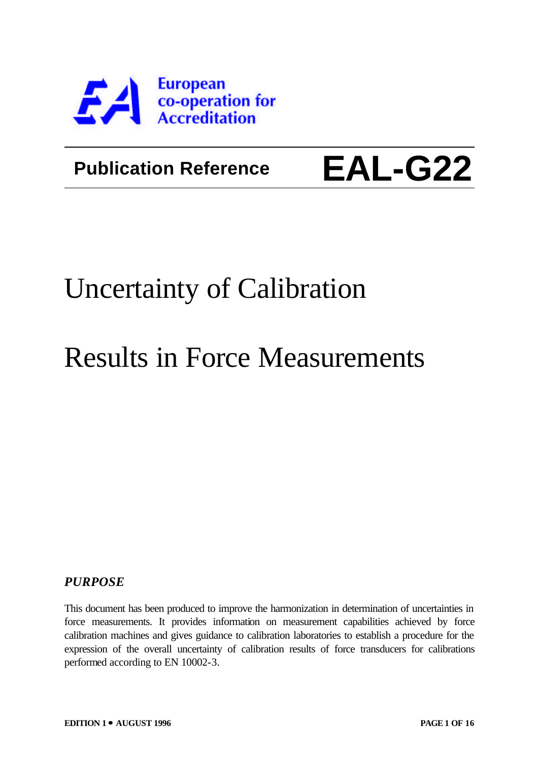

### **Publication Reference**

# **EAL-G22**

## Uncertainty of Calibration

## Results in Force Measurements

#### *PURPOSE*

This document has been produced to improve the harmonization in determination of uncertainties in force measurements. It provides information on measurement capabilities achieved by force calibration machines and gives guidance to calibration laboratories to establish a procedure for the expression of the overall uncertainty of calibration results of force transducers for calibrations performed according to EN 10002-3.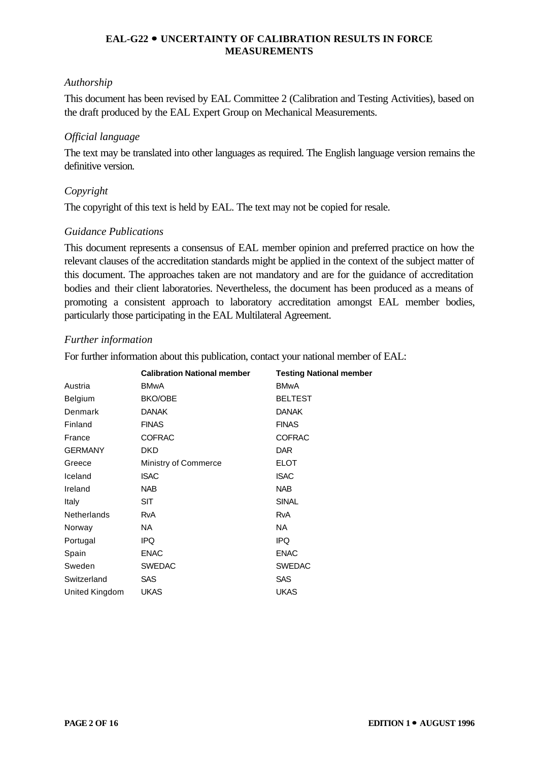#### *Authorship*

This document has been revised by EAL Committee 2 (Calibration and Testing Activities), based on the draft produced by the EAL Expert Group on Mechanical Measurements.

#### *Official language*

The text may be translated into other languages as required. The English language version remains the definitive version.

#### *Copyright*

The copyright of this text is held by EAL. The text may not be copied for resale.

#### *Guidance Publications*

This document represents a consensus of EAL member opinion and preferred practice on how the relevant clauses of the accreditation standards might be applied in the context of the subject matter of this document. The approaches taken are not mandatory and are for the guidance of accreditation bodies and their client laboratories. Nevertheless, the document has been produced as a means of promoting a consistent approach to laboratory accreditation amongst EAL member bodies, particularly those participating in the EAL Multilateral Agreement.

#### *Further information*

For further information about this publication, contact your national member of EAL:

|                    | <b>Calibration National member</b> | <b>Testing National member</b> |
|--------------------|------------------------------------|--------------------------------|
| Austria            | <b>BMwA</b>                        | <b>BMwA</b>                    |
| Belgium            | <b>BKO/OBE</b>                     | <b>BELTEST</b>                 |
| Denmark            | <b>DANAK</b>                       | <b>DANAK</b>                   |
| Finland            | <b>FINAS</b>                       | <b>FINAS</b>                   |
| France             | <b>COFRAC</b>                      | <b>COFRAC</b>                  |
| <b>GERMANY</b>     | <b>DKD</b>                         | <b>DAR</b>                     |
| Greece             | <b>Ministry of Commerce</b>        | <b>ELOT</b>                    |
| Iceland            | <b>ISAC</b>                        | <b>ISAC</b>                    |
| Ireland            | <b>NAB</b>                         | <b>NAB</b>                     |
| Italy              | <b>SIT</b>                         | <b>SINAL</b>                   |
| <b>Netherlands</b> | <b>RvA</b>                         | <b>RvA</b>                     |
| Norway             | NA.                                | NA.                            |
| Portugal           | IPQ.                               | IPQ.                           |
| Spain              | <b>ENAC</b>                        | <b>ENAC</b>                    |
| Sweden             | <b>SWEDAC</b>                      | <b>SWEDAC</b>                  |
| Switzerland        | <b>SAS</b>                         | <b>SAS</b>                     |
| United Kingdom     | <b>UKAS</b>                        | <b>UKAS</b>                    |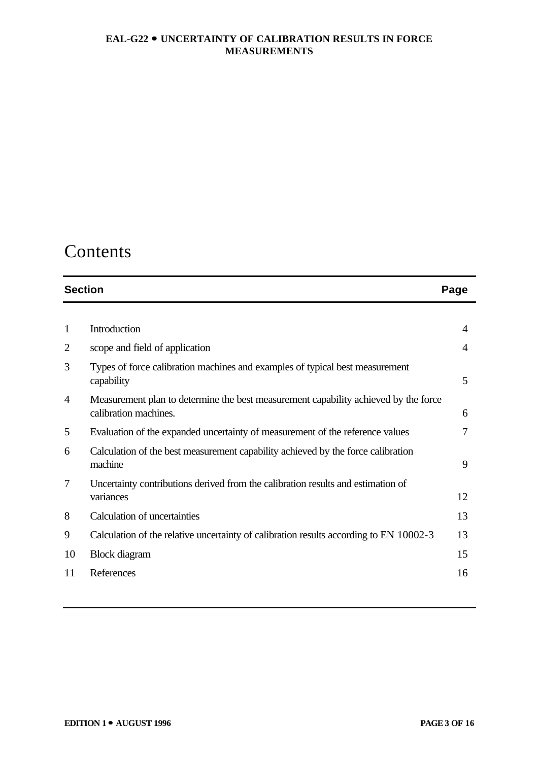### Contents

| <b>Section</b> |                                                                                                              | Page |
|----------------|--------------------------------------------------------------------------------------------------------------|------|
|                |                                                                                                              |      |
| $\mathbf{1}$   | Introduction                                                                                                 | 4    |
| $\overline{2}$ | scope and field of application                                                                               | 4    |
| 3              | Types of force calibration machines and examples of typical best measurement<br>capability                   | 5    |
| 4              | Measurement plan to determine the best measurement capability achieved by the force<br>calibration machines. | 6    |
| 5              | Evaluation of the expanded uncertainty of measurement of the reference values                                |      |
| 6              | Calculation of the best measurement capability achieved by the force calibration<br>machine                  | 9    |
| 7              | Uncertainty contributions derived from the calibration results and estimation of                             |      |
|                | variances                                                                                                    | 12   |
| 8              | Calculation of uncertainties                                                                                 | 13   |
| 9              | Calculation of the relative uncertainty of calibration results according to EN 10002-3                       | 13   |
| 10             | <b>Block</b> diagram                                                                                         | 15   |
| 11             | References                                                                                                   | 16   |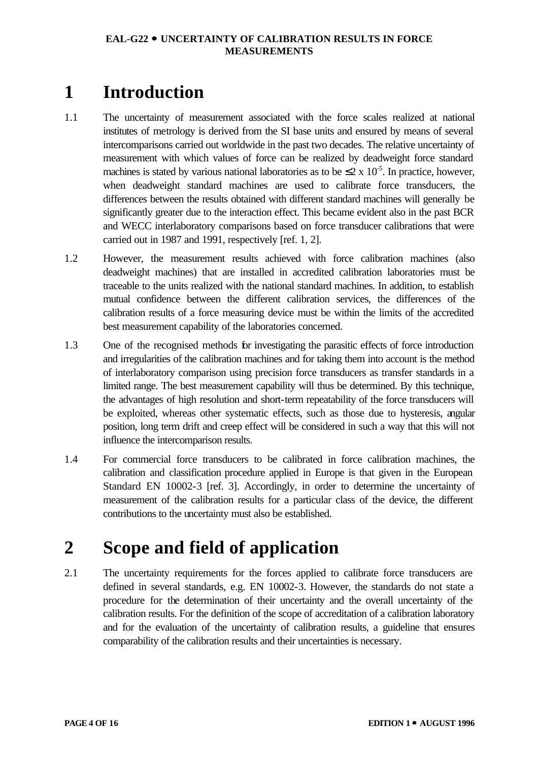### **1 Introduction**

- 1.1 The uncertainty of measurement associated with the force scales realized at national institutes of metrology is derived from the SI base units and ensured by means of several intercomparisons carried out worldwide in the past two decades. The relative uncertainty of measurement with which values of force can be realized by deadweight force standard machines is stated by various national laboratories as to be  $\leq 2 \times 10^{-5}$ . In practice, however, when deadweight standard machines are used to calibrate force transducers, the differences between the results obtained with different standard machines will generally be significantly greater due to the interaction effect. This became evident also in the past BCR and WECC interlaboratory comparisons based on force transducer calibrations that were carried out in 1987 and 1991, respectively [ref. 1, 2].
- 1.2 However, the measurement results achieved with force calibration machines (also deadweight machines) that are installed in accredited calibration laboratories must be traceable to the units realized with the national standard machines. In addition, to establish mutual confidence between the different calibration services, the differences of the calibration results of a force measuring device must be within the limits of the accredited best measurement capability of the laboratories concerned.
- 1.3 One of the recognised methods for investigating the parasitic effects of force introduction and irregularities of the calibration machines and for taking them into account is the method of interlaboratory comparison using precision force transducers as transfer standards in a limited range. The best measurement capability will thus be determined. By this technique, the advantages of high resolution and short-term repeatability of the force transducers will be exploited, whereas other systematic effects, such as those due to hysteresis, angular position, long term drift and creep effect will be considered in such a way that this will not influence the intercomparison results.
- 1.4 For commercial force transducers to be calibrated in force calibration machines, the calibration and classification procedure applied in Europe is that given in the European Standard EN 10002-3 [ref. 3]. Accordingly, in order to determine the uncertainty of measurement of the calibration results for a particular class of the device, the different contributions to the uncertainty must also be established.

### **2 Scope and field of application**

2.1 The uncertainty requirements for the forces applied to calibrate force transducers are defined in several standards, e.g. EN 10002-3. However, the standards do not state a procedure for the determination of their uncertainty and the overall uncertainty of the calibration results. For the definition of the scope of accreditation of a calibration laboratory and for the evaluation of the uncertainty of calibration results, a guideline that ensures comparability of the calibration results and their uncertainties is necessary.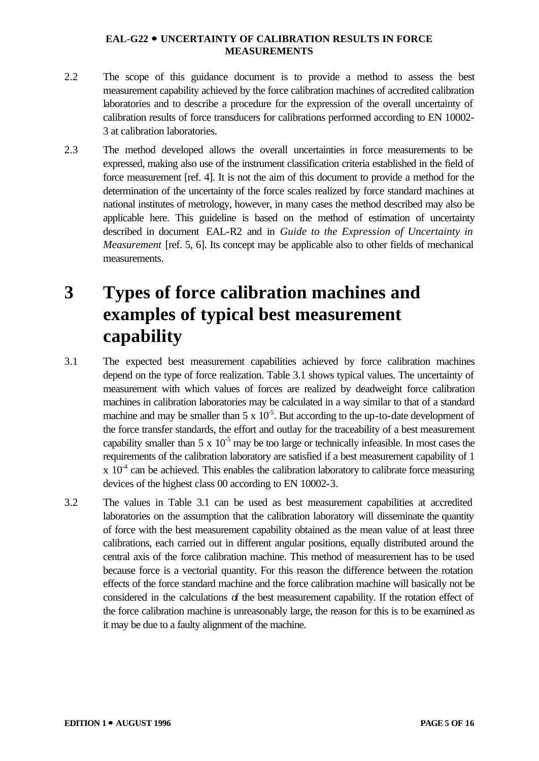- 2.2 The scope of this guidance document is to provide a method to assess the best measurement capability achieved by the force calibration machines of accredited calibration laboratories and to describe a procedure for the expression of the overall uncertainty of calibration results of force transducers for calibrations performed according to EN 10002- 3 at calibration laboratories.
- 2.3 The method developed allows the overall uncertainties in force measurements to be expressed, making also use of the instrument classification criteria established in the field of force measurement [ref. 4]. It is not the aim of this document to provide a method for the determination of the uncertainty of the force scales realized by force standard machines at national institutes of metrology, however, in many cases the method described may also be applicable here. This guideline is based on the method of estimation of uncertainty described in document EAL-R2 and in *Guide to the Expression of Uncertainty in Measurement* [ref. 5, 6]. Its concept may be applicable also to other fields of mechanical measurements.

### **3 Types of force calibration machines and examples of typical best measurement capability**

- 3.1 The expected best measurement capabilities achieved by force calibration machines depend on the type of force realization. Table 3.1 shows typical values. The uncertainty of measurement with which values of forces are realized by deadweight force calibration machines in calibration laboratories may be calculated in a way similar to that of a standard machine and may be smaller than  $5 \times 10^{-5}$ . But according to the up-to-date development of the force transfer standards, the effort and outlay for the traceability of a best measurement capability smaller than  $5 \times 10^{-5}$  may be too large or technically infeasible. In most cases the requirements of the calibration laboratory are satisfied if a best measurement capability of 1  $x$  10<sup>-4</sup> can be achieved. This enables the calibration laboratory to calibrate force measuring devices of the highest class 00 according to EN 10002-3.
- 3.2 The values in Table 3.1 can be used as best measurement capabilities at accredited laboratories on the assumption that the calibration laboratory will disseminate the quantity of force with the best measurement capability obtained as the mean value of at least three calibrations, each carried out in different angular positions, equally distributed around the central axis of the force calibration machine. This method of measurement has to be used because force is a vectorial quantity. For this reason the difference between the rotation effects of the force standard machine and the force calibration machine will basically not be considered in the calculations of the best measurement capability. If the rotation effect of the force calibration machine is unreasonably large, the reason for this is to be examined as it may be due to a faulty alignment of the machine.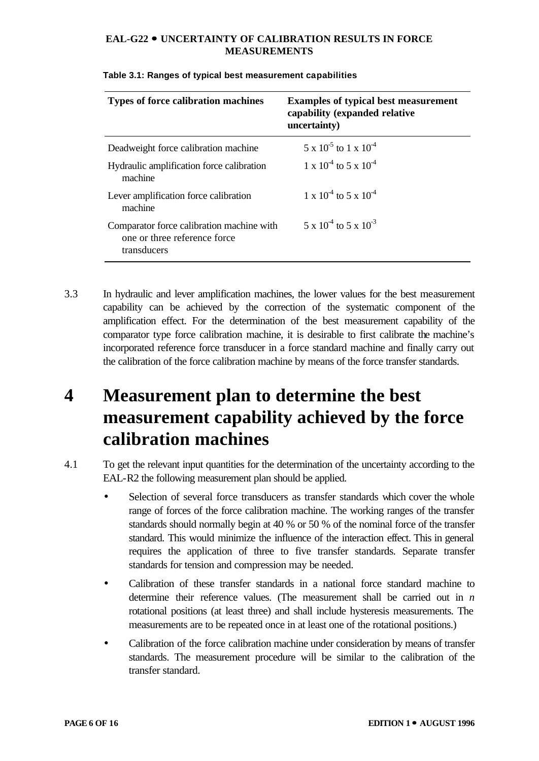| <b>Types of force calibration machines</b>                                               | <b>Examples of typical best measurement</b><br>capability (expanded relative<br>uncertainty) |
|------------------------------------------------------------------------------------------|----------------------------------------------------------------------------------------------|
| Deadweight force calibration machine                                                     | $5 \times 10^{-5}$ to 1 x 10 <sup>-4</sup>                                                   |
| Hydraulic amplification force calibration<br>machine                                     | $1 \times 10^{-4}$ to 5 x $10^{-4}$                                                          |
| Lever amplification force calibration<br>machine                                         | $1 \times 10^{-4}$ to 5 x $10^{-4}$                                                          |
| Comparator force calibration machine with<br>one or three reference force<br>transducers | $5 \times 10^{-4}$ to $5 \times 10^{-3}$                                                     |

#### **Table 3.1: Ranges of typical best measurement capabilities**

3.3 In hydraulic and lever amplification machines, the lower values for the best measurement capability can be achieved by the correction of the systematic component of the amplification effect. For the determination of the best measurement capability of the comparator type force calibration machine, it is desirable to first calibrate the machine's incorporated reference force transducer in a force standard machine and finally carry out the calibration of the force calibration machine by means of the force transfer standards.

### **4 Measurement plan to determine the best measurement capability achieved by the force calibration machines**

- 4.1 To get the relevant input quantities for the determination of the uncertainty according to the EAL-R2 the following measurement plan should be applied.
	- Selection of several force transducers as transfer standards which cover the whole range of forces of the force calibration machine. The working ranges of the transfer standards should normally begin at 40 % or 50 % of the nominal force of the transfer standard. This would minimize the influence of the interaction effect. This in general requires the application of three to five transfer standards. Separate transfer standards for tension and compression may be needed.
	- Calibration of these transfer standards in a national force standard machine to determine their reference values. (The measurement shall be carried out in *n* rotational positions (at least three) and shall include hysteresis measurements. The measurements are to be repeated once in at least one of the rotational positions.)
	- Calibration of the force calibration machine under consideration by means of transfer standards. The measurement procedure will be similar to the calibration of the transfer standard.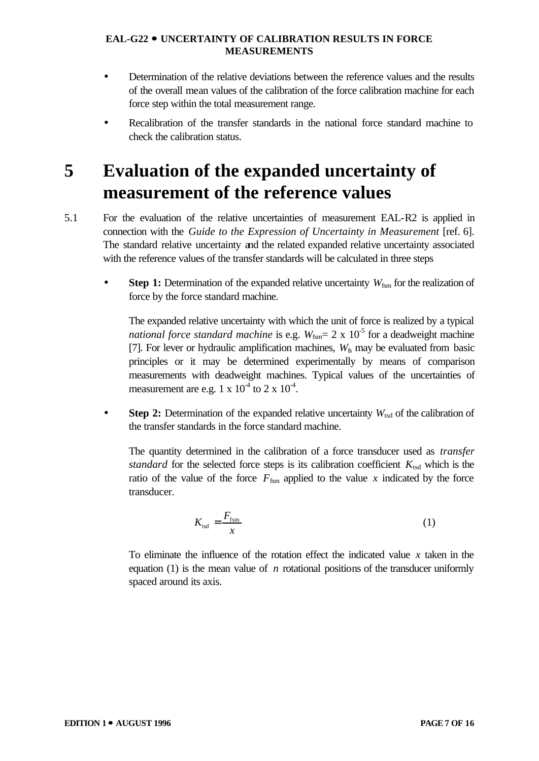- Determination of the relative deviations between the reference values and the results of the overall mean values of the calibration of the force calibration machine for each force step within the total measurement range.
- Recalibration of the transfer standards in the national force standard machine to check the calibration status.

### **5 Evaluation of the expanded uncertainty of measurement of the reference values**

- 5.1 For the evaluation of the relative uncertainties of measurement EAL-R2 is applied in connection with the *Guide to the Expression of Uncertainty in Measurement* [ref. 6]. The standard relative uncertainty and the related expanded relative uncertainty associated with the reference values of the transfer standards will be calculated in three steps
	- **Step 1:** Determination of the expanded relative uncertainty  $W_{fsm}$  for the realization of force by the force standard machine.

The expanded relative uncertainty with which the unit of force is realized by a typical *national force standard machine* is e.g.  $W_{\text{fsm}} = 2 \times 10^{-5}$  for a deadweight machine [7]. For lever or hydraulic amplification machines,  $W<sub>f</sub>$  may be evaluated from basic principles or it may be determined experimentally by means of comparison measurements with deadweight machines. Typical values of the uncertainties of measurement are e.g.  $1 \times 10^{-4}$  to  $2 \times 10^{-4}$ .

**Step 2:** Determination of the expanded relative uncertainty  $W_{\text{tsd}}$  of the calibration of the transfer standards in the force standard machine.

The quantity determined in the calibration of a force transducer used as *transfer standard* for the selected force steps is its calibration coefficient  $K_{\text{tsd}}$  which is the ratio of the value of the force  $F_{\text{fsm}}$  applied to the value x indicated by the force transducer.

$$
K_{\text{tsd}} = \frac{F_{\text{fsm}}}{x} \tag{1}
$$

To eliminate the influence of the rotation effect the indicated value *x* taken in the equation (1) is the mean value of *n* rotational positions of the transducer uniformly spaced around its axis.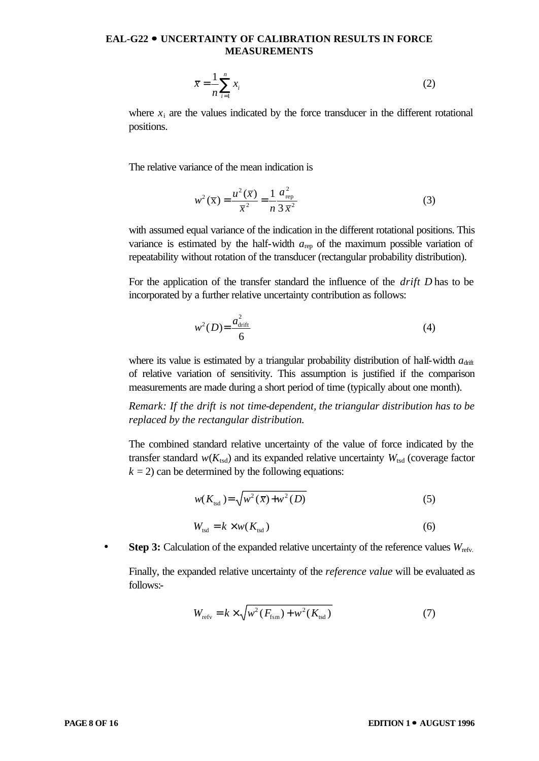$$
\overline{x} = \frac{1}{n} \sum_{i=1}^{n} x_i
$$
 (2)

where  $x_i$  are the values indicated by the force transducer in the different rotational positions.

The relative variance of the mean indication is

$$
w^{2}(\overline{x}) = \frac{u^{2}(\overline{x})}{\overline{x}^{2}} = \frac{1}{n} \frac{a_{\text{rep}}^{2}}{3 \overline{x}^{2}}
$$
 (3)

with assumed equal variance of the indication in the different rotational positions. This variance is estimated by the half-width  $a_{\text{rep}}$  of the maximum possible variation of repeatability without rotation of the transducer (rectangular probability distribution).

For the application of the transfer standard the influence of the *drift D* has to be incorporated by a further relative uncertainty contribution as follows:

$$
w^2(D) = \frac{a_{\text{drift}}^2}{6} \tag{4}
$$

where its value is estimated by a triangular probability distribution of half-width  $a_{\text{drift}}$ of relative variation of sensitivity. This assumption is justified if the comparison measurements are made during a short period of time (typically about one month).

*Remark: If the drift is not time-dependent, the triangular distribution has to be replaced by the rectangular distribution.*

The combined standard relative uncertainty of the value of force indicated by the transfer standard  $w(K_{\text{tsd}})$  and its expanded relative uncertainty  $W_{\text{tsd}}$  (coverage factor  $k = 2$ ) can be determined by the following equations:

$$
w(K_{\text{tsd}}) = \sqrt{w^2(\overline{x}) + w^2(D)}
$$
\n<sup>(5)</sup>

$$
W_{\text{tsd}} = k \times w(K_{\text{tsd}}) \tag{6}
$$

• **Step 3:** Calculation of the expanded relative uncertainty of the reference values  $W_{\text{refv}}$ .

Finally, the expanded relative uncertainty of the *reference value* will be evaluated as follows:-

$$
W_{\text{refv}} = k \times \sqrt{w^2 (F_{\text{fsm}}) + w^2 (K_{\text{tsd}})}
$$
(7)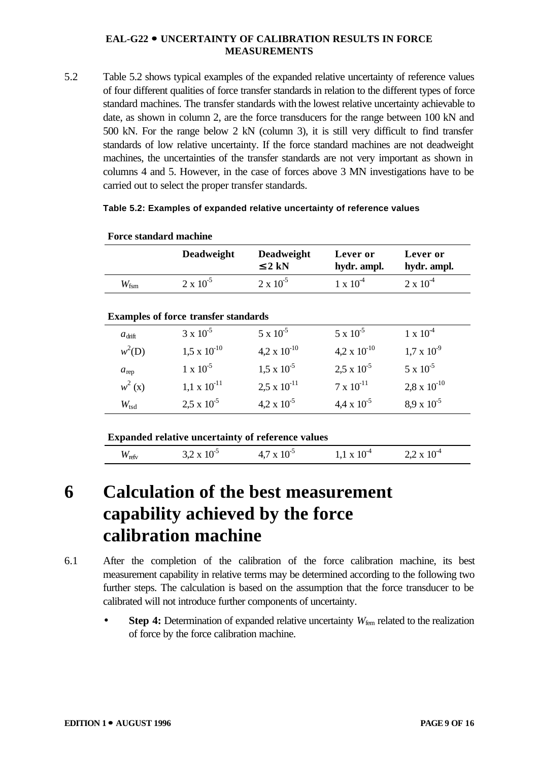5.2 Table 5.2 shows typical examples of the expanded relative uncertainty of reference values of four different qualities of force transfer standards in relation to the different types of force standard machines. The transfer standards with the lowest relative uncertainty achievable to date, as shown in column 2, are the force transducers for the range between 100 kN and 500 kN. For the range below 2 kN (column 3), it is still very difficult to find transfer standards of low relative uncertainty. If the force standard machines are not deadweight machines, the uncertainties of the transfer standards are not very important as shown in columns 4 and 5. However, in the case of forces above 3 MN investigations have to be carried out to select the proper transfer standards.

#### **Table 5.2: Examples of expanded relative uncertainty of reference values**

|                    | <b>Deadweight</b>                                 | Deadweight<br>\$2 kN  | Lever or<br>hydr. ampl. | Lever or<br>hydr. ampl. |
|--------------------|---------------------------------------------------|-----------------------|-------------------------|-------------------------|
| $W_{\text{fsm}}$   | $2 \times 10^{-5}$                                | $2 \times 10^{-5}$    | $1 \times 10^{-4}$      | $2 \times 10^{-4}$      |
|                    | <b>Examples of force transfer standards</b>       |                       |                         |                         |
| $a_{\text{drift}}$ | $3 \times 10^{-5}$                                | $5 \times 10^{-5}$    | $5 \times 10^{-5}$      | $1 \times 10^{-4}$      |
| $w^2(D)$           | $1.5 \times 10^{-10}$                             | 4,2 x $10^{-10}$      | $4.2 \times 10^{-10}$   | $1.7 \times 10^{-9}$    |
| $a_{\text{rep}}$   | $1 \times 10^{-5}$                                | $1.5 \times 10^{-5}$  | $2.5 \times 10^{-5}$    | $5 \times 10^{-5}$      |
| $w^2(x)$           | $1.1 \times 10^{-11}$                             | $2.5 \times 10^{-11}$ | $7 \times 10^{-11}$     | $2.8 \times 10^{-10}$   |
| $W_{\text{tsd}}$   | $2.5 \times 10^{-5}$                              | $4.2 \times 10^{-5}$  | $4.4 \times 10^{-5}$    | $8.9 \times 10^{-5}$    |
|                    | Expanded relative uncertainty of reference values |                       |                         |                         |
| $W_{\text{refv}}$  | $3.2 \times 10^{-5}$                              | $4.7 \times 10^{-5}$  | $1.1 \times 10^{-4}$    | $2.2 \times 10^{-4}$    |

#### **Force standard machine**

### **6 Calculation of the best measurement capability achieved by the force calibration machine**

- 6.1 After the completion of the calibration of the force calibration machine, its best measurement capability in relative terms may be determined according to the following two further steps. The calculation is based on the assumption that the force transducer to be calibrated will not introduce further components of uncertainty.
	- **Step 4:** Determination of expanded relative uncertainty  $W_{\text{fem}}$  related to the realization of force by the force calibration machine.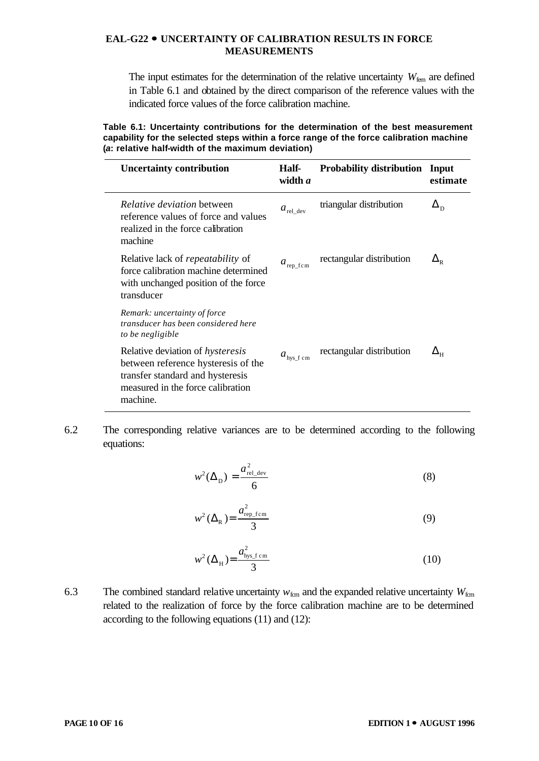The input estimates for the determination of the relative uncertainty  $W_{\text{fem}}$  are defined in Table 6.1 and obtained by the direct comparison of the reference values with the indicated force values of the force calibration machine.

**Table 6.1: Uncertainty contributions for the determination of the best measurement capability for the selected steps within a force range of the force calibration machine (***a***: relative half-width of the maximum deviation)**

| <b>Uncertainty contribution</b>                                                                                                                                     | Half-<br>width a       | <b>Probability distribution</b> | Input<br>estimate |
|---------------------------------------------------------------------------------------------------------------------------------------------------------------------|------------------------|---------------------------------|-------------------|
| <i>Relative deviation</i> between<br>reference values of force and values<br>realized in the force calibration<br>machine                                           | $a_{\text{rel\_dev}}$  | triangular distribution         | $\Delta_{\rm D}$  |
| Relative lack of <i>repeatability</i> of<br>force calibration machine determined<br>with unchanged position of the force<br>transducer                              | $a_{\text{rep\_fcm}}$  | rectangular distribution        | $\Delta_{\rm R}$  |
| Remark: uncertainty of force<br>transducer has been considered here<br>to be negligible                                                                             |                        |                                 |                   |
| Relative deviation of <i>hysteresis</i><br>between reference hysteresis of the<br>transfer standard and hysteresis<br>measured in the force calibration<br>machine. | $a_{\text{hys\_f cm}}$ | rectangular distribution        | $\Delta_{\rm H}$  |

6.2 The corresponding relative variances are to be determined according to the following equations:

$$
w^2(\Delta_{\rm D}) = \frac{a_{\rm rel\_dev}^2}{6} \tag{8}
$$

$$
w^2(\Delta_R) = \frac{a_{\text{rep\_fcm}}^2}{3} \tag{9}
$$

$$
w^2(\Delta_H) = \frac{a_{\text{hys\_f cm}}^2}{3} \tag{10}
$$

6.3 The combined standard relative uncertainty  $w_{\text{fcm}}$  and the expanded relative uncertainty  $W_{\text{fcm}}$ related to the realization of force by the force calibration machine are to be determined according to the following equations (11) and (12):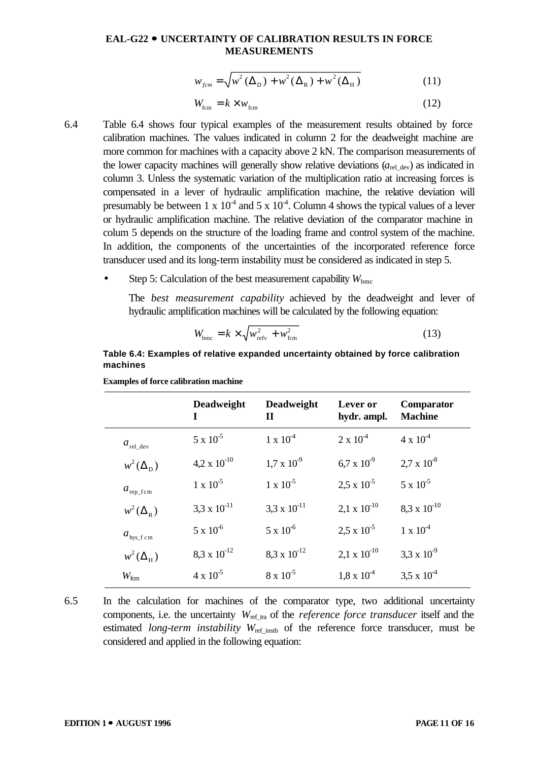$$
w_{fcm} = \sqrt{w^2 (\Delta_D) + w^2 (\Delta_R) + w^2 (\Delta_H)}
$$
 (11)

$$
W_{\text{fcm}} = k \times w_{\text{fcm}} \tag{12}
$$

- 6.4 Table 6.4 shows four typical examples of the measurement results obtained by force calibration machines. The values indicated in column 2 for the deadweight machine are more common for machines with a capacity above 2 kN. The comparison measurements of the lower capacity machines will generally show relative deviations  $(a_{rel\ dev})$  as indicated in column 3. Unless the systematic variation of the multiplication ratio at increasing forces is compensated in a lever of hydraulic amplification machine, the relative deviation will presumably be between 1 x  $10<sup>4</sup>$  and 5 x  $10<sup>4</sup>$ . Column 4 shows the typical values of a lever or hydraulic amplification machine. The relative deviation of the comparator machine in colum 5 depends on the structure of the loading frame and control system of the machine. In addition, the components of the uncertainties of the incorporated reference force transducer used and its long-term instability must be considered as indicated in step 5.
	- Step 5: Calculation of the best measurement capability  $W_{\text{bmc}}$

The *best measurement capability* achieved by the deadweight and lever of hydraulic amplification machines will be calculated by the following equation:

$$
W_{\text{bmc}} = k \times \sqrt{w_{\text{refv}}^2 + w_{\text{fcm}}^2}
$$
 (13)

#### **Table 6.4: Examples of relative expanded uncertainty obtained by force calibration machines**

|                        | <b>Deadweight</b><br>I | <b>Deadweight</b><br>П | Lever or<br>hydr. ampl. | Comparator<br><b>Machine</b> |
|------------------------|------------------------|------------------------|-------------------------|------------------------------|
| $a_{\text{rel\_dev}}$  | $5 \times 10^{-5}$     | $1 \times 10^{-4}$     | $2 \times 10^{-4}$      | $4 \times 10^{-4}$           |
| $w^2(\Delta_{\rm p})$  | $4.2 \times 10^{-10}$  | $1.7 \times 10^{-9}$   | $6.7 \times 10^{-9}$    | $2.7 \times 10^{-8}$         |
| $a_{\text{rep\_fcm}}$  | $1 \times 10^{-5}$     | $1 \times 10^{-5}$     | $2.5 \times 10^{-5}$    | $5 \times 10^{-5}$           |
| $w^2(\Delta_{\rm R})$  | 3,3 x $10^{-11}$       | 3,3 x $10^{-11}$       | $2,1 \times 10^{-10}$   | $8.3 \times 10^{-10}$        |
| $a_{\text{hys\_f cm}}$ | $5 \times 10^{-6}$     | $5 \times 10^{-6}$     | $2.5 \times 10^{-5}$    | $1 \times 10^{-4}$           |
| $w^2(\Delta_H)$        | $8.3 \times 10^{-12}$  | $8.3 \times 10^{-12}$  | $2.1 \times 10^{-10}$   | 3,3 x $10^{-9}$              |
| $W_{\rm fcm}$          | $4 \times 10^{-5}$     | $8 \times 10^{-5}$     | $1.8 \times 10^{-4}$    | $3.5 \times 10^{-4}$         |

**Examples of force calibration machine**

6.5 In the calculation for machines of the comparator type, two additional uncertainty components, i.e. the uncertainty  $W_{ref\ tra}$  of the *reference force transducer* itself and the estimated *long-term instability*  $W_{ref}$  instable of the reference force transducer, must be considered and applied in the following equation: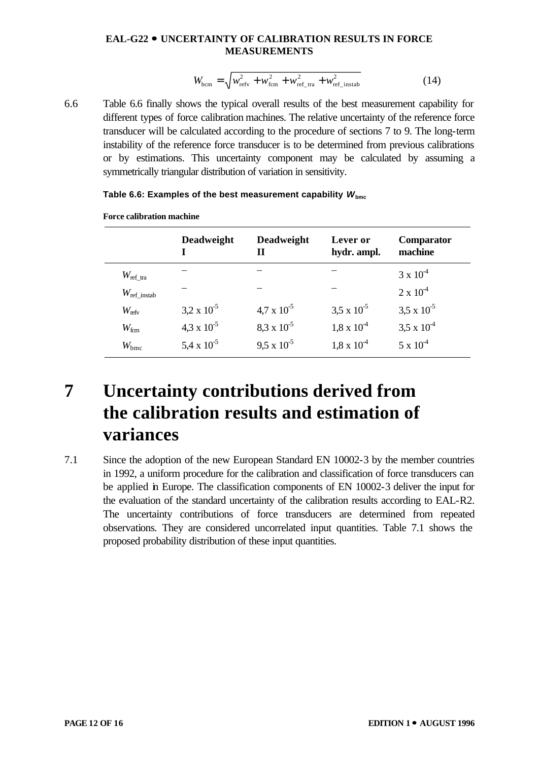$$
W_{\text{bcm}} = \sqrt{w_{\text{refv}}^2 + w_{\text{fcm}}^2 + w_{\text{ref\_tra}}^2 + w_{\text{ref\_instab}}^2}
$$
 (14)

6.6 Table 6.6 finally shows the typical overall results of the best measurement capability for different types of force calibration machines. The relative uncertainty of the reference force transducer will be calculated according to the procedure of sections 7 to 9. The long-term instability of the reference force transducer is to be determined from previous calibrations or by estimations. This uncertainty component may be calculated by assuming a symmetrically triangular distribution of variation in sensitivity.

|                          | <b>Deadweight</b>    | <b>Deadweight</b><br>Н | Lever or<br>hydr. ampl. | Comparator<br>machine |  |
|--------------------------|----------------------|------------------------|-------------------------|-----------------------|--|
| $W_{\rm ref\_tra}$       |                      |                        |                         | $3 \times 10^{-4}$    |  |
| $W_{\text{ref\_instab}}$ |                      |                        |                         | $2 \times 10^{-4}$    |  |
| $W_{\text{refv}}$        | $3.2 \times 10^{-5}$ | $4.7 \times 10^{-5}$   | $3.5 \times 10^{-5}$    | $3,5 \times 10^{-5}$  |  |
| $W_{\text{fcm}}$         | $4.3 \times 10^{-5}$ | $8.3 \times 10^{-5}$   | $1,8 \times 10^{-4}$    | $3,5 \times 10^{-4}$  |  |
| $W_{\text{bmc}}$         | 5,4 x $10^{-5}$      | $9.5 \times 10^{-5}$   | $1,8 \times 10^{-4}$    | $5 \times 10^{-4}$    |  |

#### Table 6.6: Examples of the best measurement capability  $W_{\text{bmc}}$

**Force calibration machine**

### **7 Uncertainty contributions derived from the calibration results and estimation of variances**

7.1 Since the adoption of the new European Standard EN 10002-3 by the member countries in 1992, a uniform procedure for the calibration and classification of force transducers can be applied in Europe. The classification components of EN 10002-3 deliver the input for the evaluation of the standard uncertainty of the calibration results according to EAL-R2. The uncertainty contributions of force transducers are determined from repeated observations. They are considered uncorrelated input quantities. Table 7.1 shows the proposed probability distribution of these input quantities.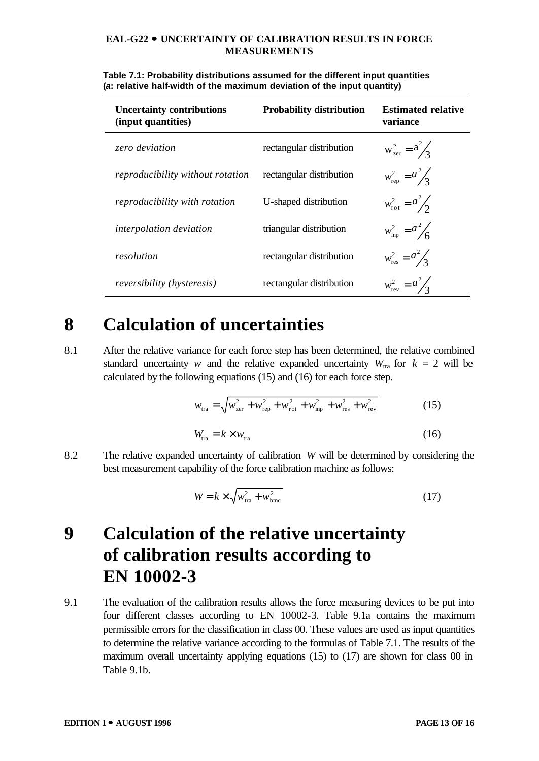| <b>Uncertainty contributions</b><br>(input quantities) | <b>Probability distribution</b> | <b>Estimated relative</b><br>variance |
|--------------------------------------------------------|---------------------------------|---------------------------------------|
| zero deviation                                         | rectangular distribution        | $W_{\text{zer}}^2 = \frac{a^2}{3}$    |
| reproducibility without rotation                       | rectangular distribution        | $w_{\text{rep}}^2 = \frac{a^2}{3}$    |
| reproducibility with rotation                          | U-shaped distribution           | $w_{\text{rot}}^2 = a^2/2$            |
| interpolation deviation                                | triangular distribution         | $w_{\text{inp}}^2 = a^2 / 6$          |
| resolution                                             | rectangular distribution        | $w_{\text{res}}^2 = a^2/3$            |
| <i>reversibility (hysteresis)</i>                      | rectangular distribution        | $w_{\text{rev}}^2 = a^2 / 2$          |

**Table 7.1: Probability distributions assumed for the different input quantities (***a***: relative half-width of the maximum deviation of the input quantity)**

### **8 Calculation of uncertainties**

8.1 After the relative variance for each force step has been determined, the relative combined standard uncertainty *w* and the relative expanded uncertainty  $W_{\text{tra}}$  for  $k = 2$  will be calculated by the following equations (15) and (16) for each force step.

$$
w_{\text{tra}} = \sqrt{w_{\text{zer}}^2 + w_{\text{rep}}^2 + w_{\text{rot}}^2 + w_{\text{imp}}^2 + w_{\text{res}}^2 + w_{\text{rev}}^2}
$$
 (15)  

$$
W_{\text{tra}} = k \times w_{\text{tra}}
$$
 (16)

8.2 The relative expanded uncertainty of calibration *W* will be determined by considering the best measurement capability of the force calibration machine as follows:

$$
W = k \times \sqrt{w_{\text{tra}}^2 + w_{\text{bmc}}^2}
$$
 (17)

### **9 Calculation of the relative uncertainty of calibration results according to EN 10002-3**

9.1 The evaluation of the calibration results allows the force measuring devices to be put into four different classes according to EN 10002-3. Table 9.1a contains the maximum permissible errors for the classification in class 00. These values are used as input quantities to determine the relative variance according to the formulas of Table 7.1. The results of the maximum overall uncertainty applying equations (15) to (17) are shown for class 00 in Table 9.1b.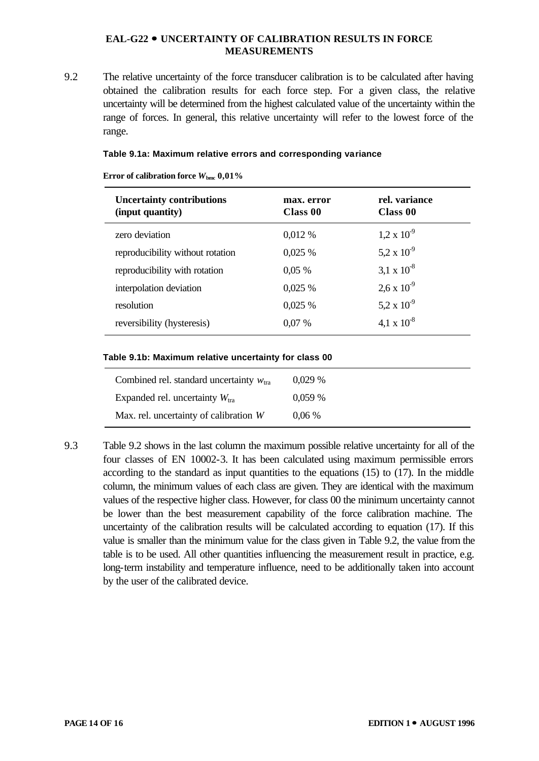9.2 The relative uncertainty of the force transducer calibration is to be calculated after having obtained the calibration results for each force step. For a given class, the relative uncertainty will be determined from the highest calculated value of the uncertainty within the range of forces. In general, this relative uncertainty will refer to the lowest force of the range.

#### **Table 9.1a: Maximum relative errors and corresponding variance**

| <b>Uncertainty contributions</b><br>(input quantity) | max. error<br>Class 00 | rel. variance<br>Class 00 |
|------------------------------------------------------|------------------------|---------------------------|
| zero deviation                                       | 0,012 %                | $1,2 \times 10^{-9}$      |
| reproducibility without rotation                     | 0,025%                 | 5,2 x $10^{-9}$           |
| reproducibility with rotation                        | 0.05%                  | $3,1 \times 10^{-8}$      |
| interpolation deviation                              | 0,025%                 | $2.6 \times 10^{-9}$      |
| resolution                                           | 0,025%                 | 5,2 x $10^{-9}$           |
| reversibility (hysteresis)                           | 0.07%                  | 4,1 x $10^{-8}$           |

**Error of calibration force** *W***bmc 0,01%**

#### **Table 9.1b: Maximum relative uncertainty for class 00**

| Combined rel. standard uncertainty $w_{\text{tra}}$ | 0.029%   |
|-----------------------------------------------------|----------|
| Expanded rel. uncertainty $W_{\text{tra}}$          | 0.059%   |
| Max. rel. uncertainty of calibration W              | $0.06\%$ |

9.3 Table 9.2 shows in the last column the maximum possible relative uncertainty for all of the four classes of EN 10002-3. It has been calculated using maximum permissible errors according to the standard as input quantities to the equations (15) to (17). In the middle column, the minimum values of each class are given. They are identical with the maximum values of the respective higher class. However, for class 00 the minimum uncertainty cannot be lower than the best measurement capability of the force calibration machine. The uncertainty of the calibration results will be calculated according to equation (17). If this value is smaller than the minimum value for the class given in Table 9.2, the value from the table is to be used. All other quantities influencing the measurement result in practice, e.g. long-term instability and temperature influence, need to be additionally taken into account by the user of the calibrated device.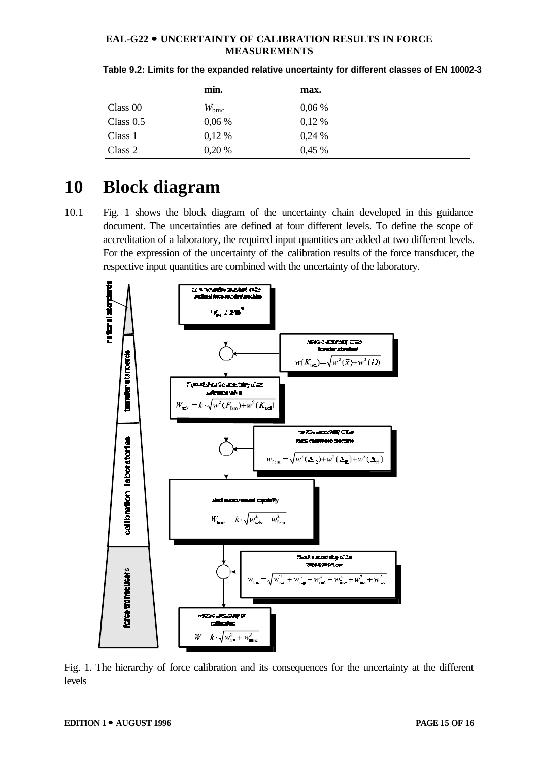|             | min.          | max.     |  |
|-------------|---------------|----------|--|
| Class 00    | $W_{\rm bmc}$ | 0,06%    |  |
| Class $0.5$ | 0,06%         | $0,12\%$ |  |
| Class 1     | 0,12%         | 0,24%    |  |
| Class 2     | 0,20%         | 0,45%    |  |

| Table 9.2: Limits for the expanded relative uncertainty for different classes of EN 10002-3 |  |  |  |
|---------------------------------------------------------------------------------------------|--|--|--|
|---------------------------------------------------------------------------------------------|--|--|--|

### **10 Block diagram**

10.1 Fig. 1 shows the block diagram of the uncertainty chain developed in this guidance document. The uncertainties are defined at four different levels. To define the scope of accreditation of a laboratory, the required input quantities are added at two different levels. For the expression of the uncertainty of the calibration results of the force transducer, the respective input quantities are combined with the uncertainty of the laboratory.



Fig. 1. The hierarchy of force calibration and its consequences for the uncertainty at the different levels